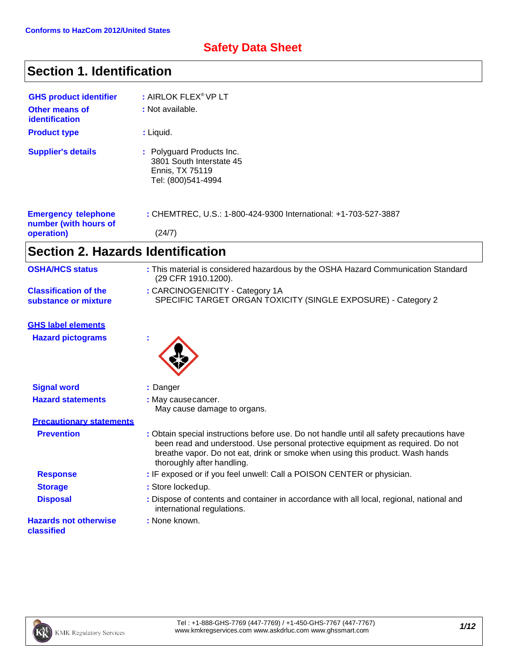### **Safety Data Sheet**

## **Section 1. Identification**

| <b>GHS product identifier</b><br>Other means of<br>identification | : AIRLOK FLEX <sup>®</sup> VP LT<br>: Not available.                                           |
|-------------------------------------------------------------------|------------------------------------------------------------------------------------------------|
| <b>Product type</b>                                               | : Liquid.                                                                                      |
| <b>Supplier's details</b>                                         | : Polyguard Products Inc.<br>3801 South Interstate 45<br>Ennis, TX 75119<br>Tel: (800)541-4994 |
| <b>Emergency telephone</b><br>number (with hours of               | : CHEMTREC, U.S.: 1-800-424-9300 International: +1-703-527-3887                                |
| operation)                                                        | (24/7)                                                                                         |

# **Section 2. Hazards Identification**

| <b>OSHA/HCS status</b>                               | : This material is considered hazardous by the OSHA Hazard Communication Standard<br>(29 CFR 1910.1200).                                                                                                                                                                                    |
|------------------------------------------------------|---------------------------------------------------------------------------------------------------------------------------------------------------------------------------------------------------------------------------------------------------------------------------------------------|
| <b>Classification of the</b><br>substance or mixture | : CARCINOGENICITY - Category 1A<br>SPECIFIC TARGET ORGAN TOXICITY (SINGLE EXPOSURE) - Category 2                                                                                                                                                                                            |
| <b>GHS label elements</b>                            |                                                                                                                                                                                                                                                                                             |
| <b>Hazard pictograms</b>                             |                                                                                                                                                                                                                                                                                             |
| <b>Signal word</b>                                   | : Danger                                                                                                                                                                                                                                                                                    |
| <b>Hazard statements</b>                             | : May cause cancer.<br>May cause damage to organs.                                                                                                                                                                                                                                          |
| <b>Precautionary statements</b>                      |                                                                                                                                                                                                                                                                                             |
| <b>Prevention</b>                                    | : Obtain special instructions before use. Do not handle until all safety precautions have<br>been read and understood. Use personal protective equipment as required. Do not<br>breathe vapor. Do not eat, drink or smoke when using this product. Wash hands<br>thoroughly after handling. |
| <b>Response</b>                                      | : IF exposed or if you feel unwell: Call a POISON CENTER or physician.                                                                                                                                                                                                                      |
| <b>Storage</b>                                       | : Store lockedup.                                                                                                                                                                                                                                                                           |
| <b>Disposal</b>                                      | : Dispose of contents and container in accordance with all local, regional, national and<br>international regulations.                                                                                                                                                                      |
| <b>Hazards not otherwise</b><br>classified           | : None known.                                                                                                                                                                                                                                                                               |

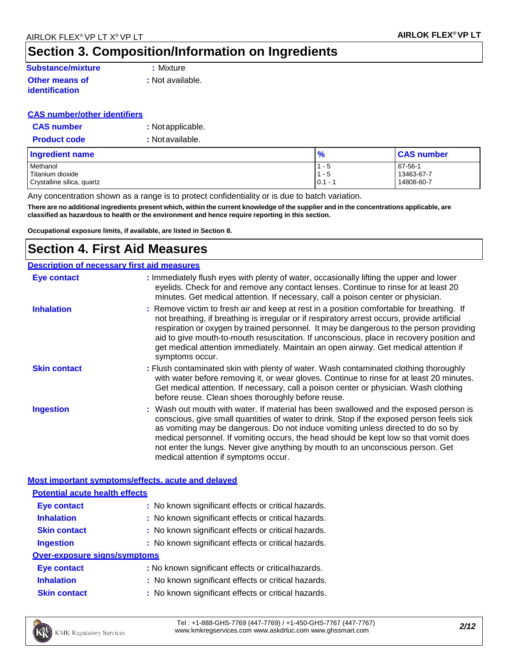# **Section 3. Composition/Information on Ingredients**

#### **Substance/mixture :** Mixture **Other means of identification**

**:** Not available.

### **CAS number/other identifiers**

| <b>CAS number</b>   | : Not applicable. |
|---------------------|-------------------|
| <b>Product code</b> | : Not available.  |

| <b>Ingredient name</b>     | $\frac{9}{6}$ | <b>CAS number</b> |
|----------------------------|---------------|-------------------|
| Methanol                   | $1 - 5$       | 67-56-1           |
| Titanium dioxide           | $1 - 5$       | 13463-67-7        |
| Crystalline silica, quartz | $0.1 - 1$     | 14808-60-7        |

Any concentration shown as a range is to protect confidentiality or is due to batch variation.

There are no additional ingredients present which, within the current knowledge of the supplier and in the concentrations applicable, are **classified as hazardous to health or the environment and hence require reporting in this section.**

**Occupational exposure limits, if available, are listed in Section 8.**

### **Section 4. First Aid Measures**

| <b>Description of necessary first aid measures</b> |                                                                                                                                                                                                                                                                                                                                                                                                                                                                                             |  |  |
|----------------------------------------------------|---------------------------------------------------------------------------------------------------------------------------------------------------------------------------------------------------------------------------------------------------------------------------------------------------------------------------------------------------------------------------------------------------------------------------------------------------------------------------------------------|--|--|
| <b>Eye contact</b>                                 | : Immediately flush eyes with plenty of water, occasionally lifting the upper and lower<br>eyelids. Check for and remove any contact lenses. Continue to rinse for at least 20<br>minutes. Get medical attention. If necessary, call a poison center or physician.                                                                                                                                                                                                                          |  |  |
| <b>Inhalation</b>                                  | : Remove victim to fresh air and keep at rest in a position comfortable for breathing. If<br>not breathing, if breathing is irregular or if respiratory arrest occurs, provide artificial<br>respiration or oxygen by trained personnel. It may be dangerous to the person providing<br>aid to give mouth-to-mouth resuscitation. If unconscious, place in recovery position and<br>get medical attention immediately. Maintain an open airway. Get medical attention if<br>symptoms occur. |  |  |
| <b>Skin contact</b>                                | : Flush contaminated skin with plenty of water. Wash contaminated clothing thoroughly<br>with water before removing it, or wear gloves. Continue to rinse for at least 20 minutes.<br>Get medical attention. If necessary, call a poison center or physician. Wash clothing<br>before reuse. Clean shoes thoroughly before reuse.                                                                                                                                                           |  |  |
| <b>Ingestion</b>                                   | : Wash out mouth with water. If material has been swallowed and the exposed person is<br>conscious, give small quantities of water to drink. Stop if the exposed person feels sick<br>as vomiting may be dangerous. Do not induce vomiting unless directed to do so by<br>medical personnel. If vomiting occurs, the head should be kept low so that vomit does<br>not enter the lungs. Never give anything by mouth to an unconscious person. Get<br>medical attention if symptoms occur.  |  |  |
| Most important symptoms/effects, acute and delayed |                                                                                                                                                                                                                                                                                                                                                                                                                                                                                             |  |  |
| <b>Potential acute health effects</b>              |                                                                                                                                                                                                                                                                                                                                                                                                                                                                                             |  |  |
| <b>Eye contact</b>                                 | : No known significant effects or critical hazards.                                                                                                                                                                                                                                                                                                                                                                                                                                         |  |  |
| <b>Inhalation</b>                                  | : No known significant effects or critical hazards.                                                                                                                                                                                                                                                                                                                                                                                                                                         |  |  |
| <b>Skin contact</b>                                | : No known significant effects or critical hazards.                                                                                                                                                                                                                                                                                                                                                                                                                                         |  |  |
| <b>Ingestion</b>                                   | : No known significant effects or critical hazards.                                                                                                                                                                                                                                                                                                                                                                                                                                         |  |  |

### **Over-exposure signs/symptoms**

| <b>Eye contact</b> | : No known significant effects or critical hazards. |
|--------------------|-----------------------------------------------------|
| <b>Inhalation</b>  | : No known significant effects or critical hazards. |
|                    |                                                     |

**Skin contact :** No known significant effects or critical hazards.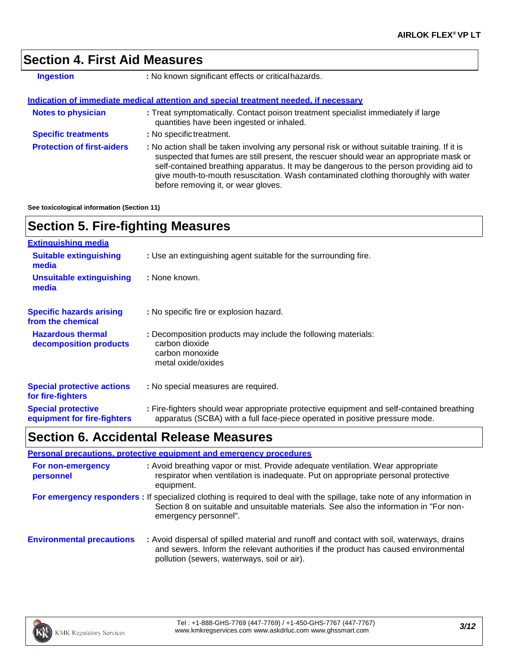### **Section 4. First Aid Measures**

| <b>Ingestion</b>                  | : No known significant effects or critical hazards.                                                                                                                                                                                                                                                                                                                                                             |
|-----------------------------------|-----------------------------------------------------------------------------------------------------------------------------------------------------------------------------------------------------------------------------------------------------------------------------------------------------------------------------------------------------------------------------------------------------------------|
|                                   | <u>Indication of immediate medical attention and special treatment needed. if necessary</u>                                                                                                                                                                                                                                                                                                                     |
| <b>Notes to physician</b>         | : Treat symptomatically. Contact poison treatment specialist immediately if large<br>quantities have been ingested or inhaled.                                                                                                                                                                                                                                                                                  |
| <b>Specific treatments</b>        | : No specific treatment.                                                                                                                                                                                                                                                                                                                                                                                        |
| <b>Protection of first-aiders</b> | : No action shall be taken involving any personal risk or without suitable training. If it is<br>suspected that fumes are still present, the rescuer should wear an appropriate mask or<br>self-contained breathing apparatus. It may be dangerous to the person providing aid to<br>give mouth-to-mouth resuscitation. Wash contaminated clothing thoroughly with water<br>before removing it, or wear gloves. |

**See toxicological information (Section 11)**

### **Section 5. Fire-fighting Measures**

| <b>Extinguishing media</b>                               |                                                                                                                                                                          |
|----------------------------------------------------------|--------------------------------------------------------------------------------------------------------------------------------------------------------------------------|
| <b>Suitable extinguishing</b><br>media                   | : Use an extinguishing agent suitable for the surrounding fire.                                                                                                          |
| <b>Unsuitable extinguishing</b><br>media                 | : None known.                                                                                                                                                            |
| <b>Specific hazards arising</b><br>from the chemical     | : No specific fire or explosion hazard.                                                                                                                                  |
| <b>Hazardous thermal</b><br>decomposition products       | : Decomposition products may include the following materials:<br>carbon dioxide<br>carbon monoxide<br>metal oxide/oxides                                                 |
| <b>Special protective actions</b><br>for fire-fighters   | : No special measures are required.                                                                                                                                      |
| <b>Special protective</b><br>equipment for fire-fighters | : Fire-fighters should wear appropriate protective equipment and self-contained breathing<br>apparatus (SCBA) with a full face-piece operated in positive pressure mode. |

### **Section 6. Accidental Release Measures**

|                                  | <b>Personal precautions, protective equipment and emergency procedures</b>                                                                                                                                                                  |
|----------------------------------|---------------------------------------------------------------------------------------------------------------------------------------------------------------------------------------------------------------------------------------------|
| For non-emergency<br>personnel   | : Avoid breathing vapor or mist. Provide adequate ventilation. Wear appropriate<br>respirator when ventilation is inadequate. Put on appropriate personal protective<br>equipment.                                                          |
|                                  | For emergency responders : If specialized clothing is required to deal with the spillage, take note of any information in<br>Section 8 on suitable and unsuitable materials. See also the information in "For non-<br>emergency personnel". |
| <b>Environmental precautions</b> | : Avoid dispersal of spilled material and runoff and contact with soil, waterways, drains<br>and sewers. Inform the relevant authorities if the product has caused environmental<br>pollution (sewers, waterways, soil or air).             |

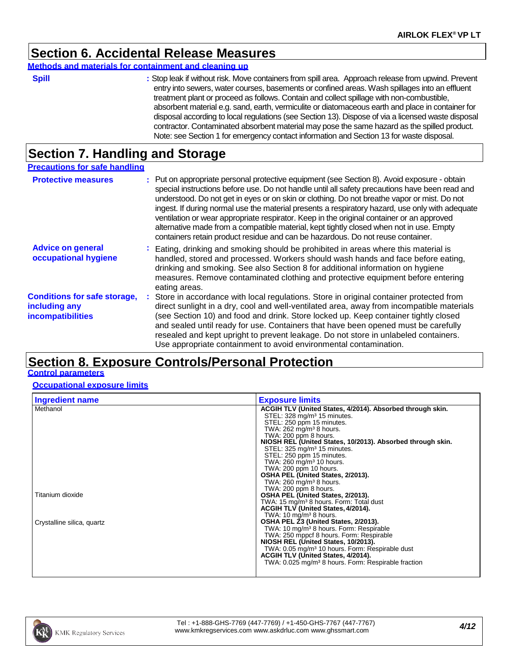### **Section 6. Accidental Release Measures**

#### **Methods and materials for containment and cleaning up**

| v<br>۰. | ٠ |  |
|---------|---|--|

**Spill :** Stop leak if without risk. Move containers from spill area. Approach release from upwind. Prevent entry into sewers, water courses, basements or confined areas. Wash spillages into an effluent treatment plant or proceed as follows. Contain and collect spillage with non-combustible, absorbent material e.g. sand, earth, vermiculite or diatomaceous earth and place in container for disposal according to local regulations (see Section 13). Dispose of via a licensed waste disposal contractor. Contaminated absorbent material may pose the same hazard as the spilled product. Note: see Section 1 for emergency contact information and Section 13 for waste disposal.

### **Section 7. Handling and Storage**

| <b>Precautions for safe handling</b>                                             |                                                                                                                                                                                                                                                                                                                                                                                                                                                                                                                                                                                                                                                                            |
|----------------------------------------------------------------------------------|----------------------------------------------------------------------------------------------------------------------------------------------------------------------------------------------------------------------------------------------------------------------------------------------------------------------------------------------------------------------------------------------------------------------------------------------------------------------------------------------------------------------------------------------------------------------------------------------------------------------------------------------------------------------------|
| <b>Protective measures</b>                                                       | : Put on appropriate personal protective equipment (see Section 8). Avoid exposure - obtain<br>special instructions before use. Do not handle until all safety precautions have been read and<br>understood. Do not get in eyes or on skin or clothing. Do not breathe vapor or mist. Do not<br>ingest. If during normal use the material presents a respiratory hazard, use only with adequate<br>ventilation or wear appropriate respirator. Keep in the original container or an approved<br>alternative made from a compatible material, kept tightly closed when not in use. Empty<br>containers retain product residue and can be hazardous. Do not reuse container. |
| <b>Advice on general</b><br>occupational hygiene                                 | : Eating, drinking and smoking should be prohibited in areas where this material is<br>handled, stored and processed. Workers should wash hands and face before eating,<br>drinking and smoking. See also Section 8 for additional information on hygiene<br>measures. Remove contaminated clothing and protective equipment before entering<br>eating areas.                                                                                                                                                                                                                                                                                                              |
| <b>Conditions for safe storage,</b><br>including any<br><b>incompatibilities</b> | : Store in accordance with local regulations. Store in original container protected from<br>direct sunlight in a dry, cool and well-ventilated area, away from incompatible materials<br>(see Section 10) and food and drink. Store locked up. Keep container tightly closed<br>and sealed until ready for use. Containers that have been opened must be carefully<br>resealed and kept upright to prevent leakage. Do not store in unlabeled containers.<br>Use appropriate containment to avoid environmental contamination.                                                                                                                                             |

### **Section 8. Exposure Controls/Personal Protection**

### **Control parameters**

**Occupational exposure limits**

| <b>Ingredient name</b>     | <b>Exposure limits</b>                                                              |
|----------------------------|-------------------------------------------------------------------------------------|
| Methanol                   | ACGIH TLV (United States, 4/2014). Absorbed through skin.                           |
|                            | STEL: 328 mg/m <sup>3</sup> 15 minutes.                                             |
|                            | STEL: 250 ppm 15 minutes.                                                           |
|                            | TWA: $262$ mg/m <sup>3</sup> 8 hours.                                               |
|                            | TWA: 200 ppm 8 hours.<br>NIOSH REL (United States, 10/2013). Absorbed through skin. |
|                            | STEL: 325 mg/m <sup>3</sup> 15 minutes.                                             |
|                            | STEL: 250 ppm 15 minutes.                                                           |
|                            | TWA: $260 \text{ mg/m}^3$ 10 hours.                                                 |
|                            | TWA: 200 ppm 10 hours.                                                              |
|                            | OSHA PEL (United States, 2/2013).                                                   |
|                            | TWA: $260 \text{ mg/m}^3$ 8 hours.                                                  |
|                            | TWA: 200 ppm 8 hours.                                                               |
| Titanium dioxide           | OSHA PEL (United States, 2/2013).                                                   |
|                            | TWA: 15 mg/m <sup>3</sup> 8 hours. Form: Total dust                                 |
|                            | ACGIH TLV (United States, 4/2014).<br>TWA: $10 \text{ mg/m}^3$ 8 hours.             |
| Crystalline silica, quartz | OSHA PEL 23 (United States, 2/2013).                                                |
|                            | TWA: 10 mg/m <sup>3</sup> 8 hours. Form: Respirable                                 |
|                            | TWA: 250 mppcf 8 hours. Form: Respirable                                            |
|                            | NIOSH REL (United States, 10/2013).                                                 |
|                            | TWA: 0.05 mg/m <sup>3</sup> 10 hours. Form: Respirable dust                         |
|                            | ACGIH TLV (United States, 4/2014).                                                  |
|                            | TWA: 0.025 mg/m <sup>3</sup> 8 hours. Form: Respirable fraction                     |
|                            |                                                                                     |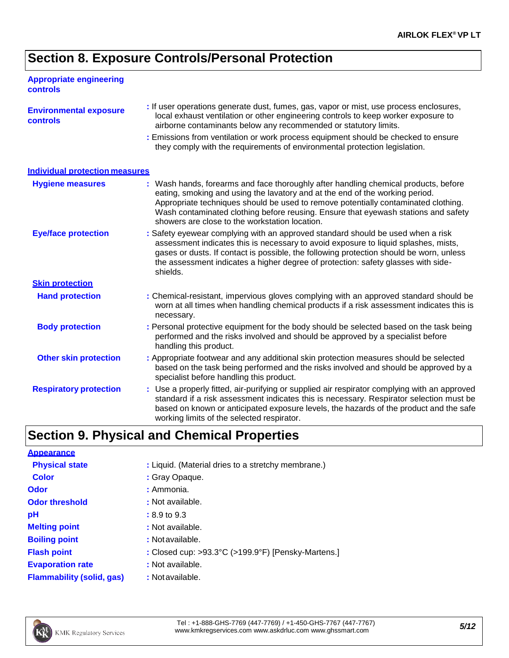### **Section 8. Exposure Controls/Personal Protection**

| <b>Appropriate engineering</b><br><b>controls</b> |                                                                                                                                                                                                                                                                                                                                                                                                   |
|---------------------------------------------------|---------------------------------------------------------------------------------------------------------------------------------------------------------------------------------------------------------------------------------------------------------------------------------------------------------------------------------------------------------------------------------------------------|
| <b>Environmental exposure</b><br><b>controls</b>  | : If user operations generate dust, fumes, gas, vapor or mist, use process enclosures,<br>local exhaust ventilation or other engineering controls to keep worker exposure to<br>airborne contaminants below any recommended or statutory limits.                                                                                                                                                  |
|                                                   | : Emissions from ventilation or work process equipment should be checked to ensure<br>they comply with the requirements of environmental protection legislation.                                                                                                                                                                                                                                  |
| <b>Individual protection measures</b>             |                                                                                                                                                                                                                                                                                                                                                                                                   |
| <b>Hygiene measures</b>                           | : Wash hands, forearms and face thoroughly after handling chemical products, before<br>eating, smoking and using the lavatory and at the end of the working period.<br>Appropriate techniques should be used to remove potentially contaminated clothing.<br>Wash contaminated clothing before reusing. Ensure that eyewash stations and safety<br>showers are close to the workstation location. |
| <b>Eye/face protection</b>                        | : Safety eyewear complying with an approved standard should be used when a risk<br>assessment indicates this is necessary to avoid exposure to liquid splashes, mists,<br>gases or dusts. If contact is possible, the following protection should be worn, unless<br>the assessment indicates a higher degree of protection: safety glasses with side-<br>shields.                                |
| <b>Skin protection</b>                            |                                                                                                                                                                                                                                                                                                                                                                                                   |
| <b>Hand protection</b>                            | : Chemical-resistant, impervious gloves complying with an approved standard should be<br>worn at all times when handling chemical products if a risk assessment indicates this is<br>necessary.                                                                                                                                                                                                   |
| <b>Body protection</b>                            | : Personal protective equipment for the body should be selected based on the task being<br>performed and the risks involved and should be approved by a specialist before<br>handling this product.                                                                                                                                                                                               |
| <b>Other skin protection</b>                      | : Appropriate footwear and any additional skin protection measures should be selected<br>based on the task being performed and the risks involved and should be approved by a<br>specialist before handling this product.                                                                                                                                                                         |
| <b>Respiratory protection</b>                     | : Use a properly fitted, air-purifying or supplied air respirator complying with an approved<br>standard if a risk assessment indicates this is necessary. Respirator selection must be<br>based on known or anticipated exposure levels, the hazards of the product and the safe<br>working limits of the selected respirator.                                                                   |
|                                                   | <b>Section 9. Physical and Chemical Properties</b>                                                                                                                                                                                                                                                                                                                                                |
| <b>Appearance</b>                                 |                                                                                                                                                                                                                                                                                                                                                                                                   |
| <b>Physical state</b>                             | : Liquid. (Material dries to a stretchy membrane.)                                                                                                                                                                                                                                                                                                                                                |
| <b>Color</b>                                      | : Gray Opaque.                                                                                                                                                                                                                                                                                                                                                                                    |

| . Giay Opac |
|-------------|
| : Ammonia.  |

- **:** Not available.
	- **:** 8.9 to 9.3
		- **:** Not available.
- **Boiling point :** Notavailable.
- **Flash point**
- **Evaporation rate**

**Odor threshold** 

**Melting point**

- **Flammability (solid, gas) :** Notavailable.
- **:** Not available.



**Odor**

**pH**

**:** Closed cup: >93.3°C (>199.9°F) [Pensky-Martens.]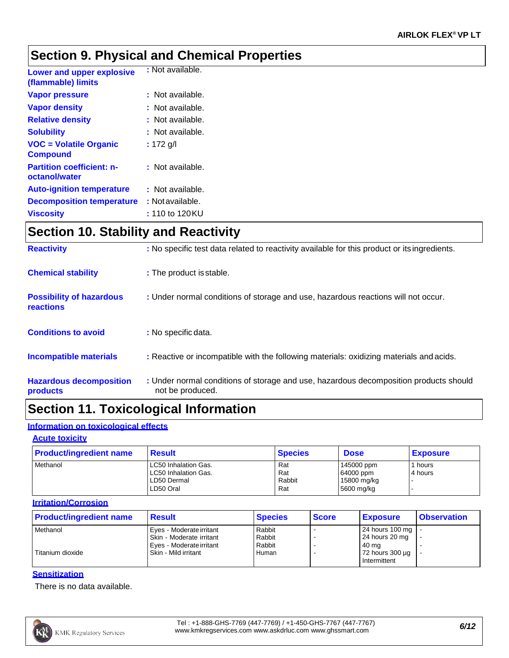### **Section 9. Physical and Chemical Properties**

| <b>Lower and upper explosive</b><br>(flammable) limits | : Not available. |
|--------------------------------------------------------|------------------|
| <b>Vapor pressure</b>                                  | : Not available. |
| <b>Vapor density</b>                                   | : Not available. |
| <b>Relative density</b>                                | : Not available. |
| <b>Solubility</b>                                      | : Not available. |
| <b>VOC = Volatile Organic</b><br><b>Compound</b>       | : 172 g/l        |
| <b>Partition coefficient: n-</b><br>octanol/water      | : Not available. |
| <b>Auto-ignition temperature</b>                       | : Not available. |
| <b>Decomposition temperature</b>                       | : Not available. |
| <b>Viscosity</b>                                       | : 110 to 120KU   |

### **Section 10. Stability and Reactivity**

| <b>Reactivity</b>                                   | : No specific test data related to reactivity available for this product or its ingredients.              |
|-----------------------------------------------------|-----------------------------------------------------------------------------------------------------------|
| <b>Chemical stability</b>                           | : The product is stable.                                                                                  |
| <b>Possibility of hazardous</b><br><b>reactions</b> | : Under normal conditions of storage and use, hazardous reactions will not occur.                         |
| <b>Conditions to avoid</b>                          | : No specific data.                                                                                       |
| <b>Incompatible materials</b>                       | : Reactive or incompatible with the following materials: oxidizing materials and acids.                   |
| <b>Hazardous decomposition</b><br>products          | : Under normal conditions of storage and use, hazardous decomposition products should<br>not be produced. |

# **Section 11. Toxicological Information**

### **Information on toxicological effects**

#### **Acute toxicity**

| <b>Product/ingredient name</b> | <b>Result</b>                                                            | <b>Species</b>              | <b>Dose</b>                                          | <b>Exposure</b>    |
|--------------------------------|--------------------------------------------------------------------------|-----------------------------|------------------------------------------------------|--------------------|
| Methanol                       | LC50 Inhalation Gas.<br>LC50 Inhalation Gas.<br>LD50 Dermal<br>LD50 Oral | Rat<br>Rat<br>Rabbit<br>Rat | 145000 ppm<br>64000 ppm<br>15800 mg/kg<br>5600 mg/kg | 1 hours<br>4 hours |

#### **Irritation/Corrosion**

| <b>Product/ingredient name</b> | <b>Result</b>              | <b>Species</b> | <b>Score</b> | <b>Exposure</b>         | <b>Observation</b> |
|--------------------------------|----------------------------|----------------|--------------|-------------------------|--------------------|
| Methanol                       | Eves - Moderate irritant   | Rabbit         |              | 24 hours 100 mg         |                    |
|                                | l Skin - Moderate irritant | Rabbit         |              | 24 hours 20 mg          |                    |
|                                | l Eves - Moderate irritant | Rabbit         |              | 40 mg                   |                    |
| Titanium dioxide               | Skin - Mild irritant       | Human          |              | $172$ hours 300 $\mu$ g |                    |
|                                |                            |                |              | Intermittent            |                    |

### **Sensitization**

There is no data available.

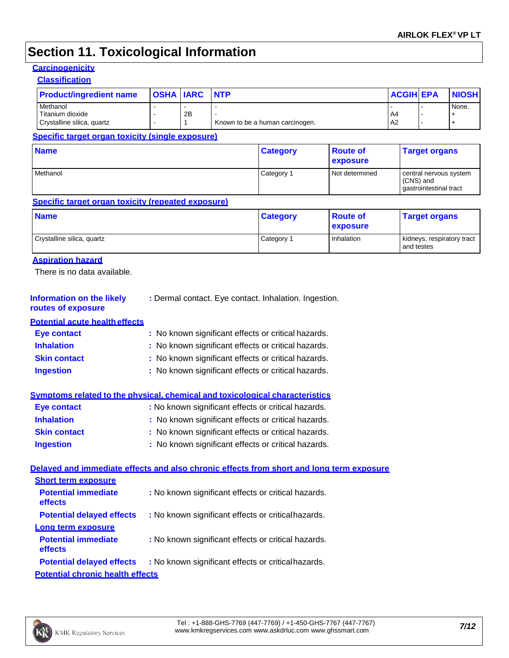# **Section 11. Toxicological Information**

#### **Carcinogenicity**

| <b>Classification</b>                                                                    |                  |                    |            |                                                       |                             |                  |                        |                            |
|------------------------------------------------------------------------------------------|------------------|--------------------|------------|-------------------------------------------------------|-----------------------------|------------------|------------------------|----------------------------|
| <b>Product/ingredient name</b>                                                           | <b>OSHA IARC</b> |                    | <b>NTP</b> |                                                       |                             | <b>ACGIH EPA</b> |                        | <b>NIOSH</b>               |
| Methanol                                                                                 |                  |                    |            |                                                       |                             |                  |                        | None.                      |
| Titanium dioxide<br>Crystalline silica, quartz                                           |                  | 2B<br>$\mathbf{1}$ |            | Known to be a human carcinogen.                       |                             | A4<br>A2         |                        | $\ddot{}$<br>$\ddag$       |
| Specific target organ toxicity (single exposure)                                         |                  |                    |            |                                                       |                             |                  |                        |                            |
|                                                                                          |                  |                    |            |                                                       |                             |                  |                        |                            |
| <b>Name</b>                                                                              |                  |                    |            | <b>Category</b>                                       | <b>Route of</b><br>exposure |                  | <b>Target organs</b>   |                            |
| Methanol                                                                                 |                  |                    |            | Category 1                                            | Not determined              |                  |                        | central nervous system     |
|                                                                                          |                  |                    |            |                                                       |                             | (CNS) and        | gastrointestinal tract |                            |
| Specific target organ toxicity (repeated exposure)                                       |                  |                    |            |                                                       |                             |                  |                        |                            |
| <b>Name</b>                                                                              |                  |                    |            | <b>Category</b>                                       | <b>Route of</b>             |                  | <b>Target organs</b>   |                            |
|                                                                                          |                  |                    |            |                                                       | exposure                    |                  |                        |                            |
| Crystalline silica, quartz                                                               |                  |                    |            | Category 1                                            | Inhalation                  | and testes       |                        | kidneys, respiratory tract |
| <b>Aspiration hazard</b>                                                                 |                  |                    |            |                                                       |                             |                  |                        |                            |
| There is no data available.                                                              |                  |                    |            |                                                       |                             |                  |                        |                            |
|                                                                                          |                  |                    |            |                                                       |                             |                  |                        |                            |
| <b>Information on the likely</b>                                                         |                  |                    |            | : Dermal contact. Eye contact. Inhalation. Ingestion. |                             |                  |                        |                            |
| routes of exposure                                                                       |                  |                    |            |                                                       |                             |                  |                        |                            |
| <b>Potential acute health effects</b>                                                    |                  |                    |            |                                                       |                             |                  |                        |                            |
| <b>Eye contact</b>                                                                       |                  |                    |            | : No known significant effects or critical hazards.   |                             |                  |                        |                            |
| <b>Inhalation</b>                                                                        |                  |                    |            | : No known significant effects or critical hazards.   |                             |                  |                        |                            |
| <b>Skin contact</b>                                                                      |                  |                    |            | : No known significant effects or critical hazards.   |                             |                  |                        |                            |
| <b>Ingestion</b>                                                                         |                  |                    |            |                                                       |                             |                  |                        |                            |
|                                                                                          |                  |                    |            |                                                       |                             |                  |                        |                            |
|                                                                                          |                  |                    |            | : No known significant effects or critical hazards.   |                             |                  |                        |                            |
|                                                                                          |                  |                    |            |                                                       |                             |                  |                        |                            |
| <b>Eye contact</b>                                                                       |                  |                    |            | : No known significant effects or critical hazards.   |                             |                  |                        |                            |
| <b>Inhalation</b>                                                                        |                  |                    |            | : No known significant effects or critical hazards.   |                             |                  |                        |                            |
| <b>Skin contact</b>                                                                      |                  |                    |            | : No known significant effects or critical hazards.   |                             |                  |                        |                            |
| Symptoms related to the physical, chemical and toxicological characteristics             |                  |                    |            |                                                       |                             |                  |                        |                            |
| <b>Ingestion</b>                                                                         |                  |                    |            | : No known significant effects or critical hazards.   |                             |                  |                        |                            |
| Delaved and immediate effects and also chronic effects from short and long term exposure |                  |                    |            |                                                       |                             |                  |                        |                            |
| <b>Short term exposure</b>                                                               |                  |                    |            |                                                       |                             |                  |                        |                            |
| <b>Potential immediate</b>                                                               |                  |                    |            | : No known significant effects or critical hazards.   |                             |                  |                        |                            |
| effects                                                                                  |                  |                    |            |                                                       |                             |                  |                        |                            |
| <b>Potential delayed effects</b>                                                         |                  |                    |            | : No known significant effects or critical hazards.   |                             |                  |                        |                            |
| Long term exposure<br><b>Potential immediate</b>                                         |                  |                    |            | : No known significant effects or critical hazards.   |                             |                  |                        |                            |
| effects<br><b>Potential delayed effects</b>                                              |                  |                    |            | : No known significant effects or critical hazards.   |                             |                  |                        |                            |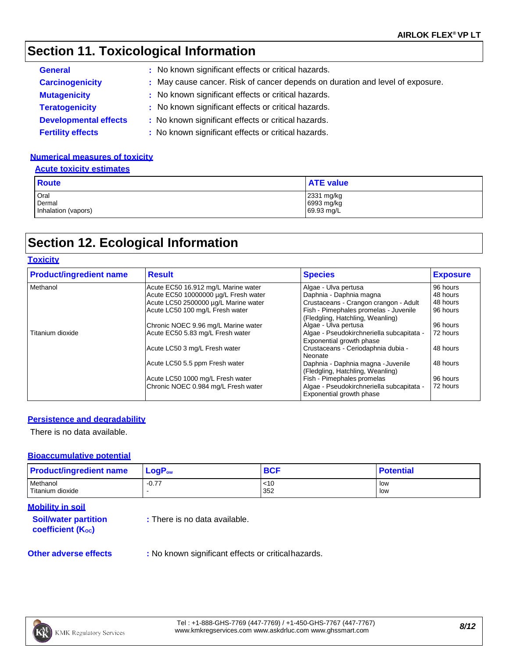### **Section 11. Toxicological Information**

| <b>General</b>               | : No known significant effects or critical hazards.                           |
|------------------------------|-------------------------------------------------------------------------------|
| <b>Carcinogenicity</b>       | : May cause cancer. Risk of cancer depends on duration and level of exposure. |
| <b>Mutagenicity</b>          | : No known significant effects or critical hazards.                           |
| <b>Teratogenicity</b>        | : No known significant effects or critical hazards.                           |
| <b>Developmental effects</b> | : No known significant effects or critical hazards.                           |
| <b>Fertility effects</b>     | : No known significant effects or critical hazards.                           |

#### **Numerical measures of toxicity**

#### **Acute toxicity estimates**

| <b>Route</b>                          | <b>ATE value</b>                       |
|---------------------------------------|----------------------------------------|
| Oral<br>Dermal<br>Inhalation (vapors) | 2331 mg/kg<br>6993 mg/kg<br>69.93 mg/L |

## **Section 12. Ecological Information**

### **Toxicity**

| <b>Product/ingredient name</b> | <b>Result</b>                        | <b>Species</b>                                                            | <b>Exposure</b> |
|--------------------------------|--------------------------------------|---------------------------------------------------------------------------|-----------------|
| Methanol                       | Acute EC50 16.912 mg/L Marine water  | Algae - Ulva pertusa                                                      | 96 hours        |
|                                | Acute EC50 10000000 µg/L Fresh water | Daphnia - Daphnia magna                                                   | 48 hours        |
|                                | Acute LC50 2500000 µg/L Marine water | Crustaceans - Crangon crangon - Adult                                     | 48 hours        |
|                                | Acute LC50 100 mg/L Fresh water      | Fish - Pimephales promelas - Juvenile<br>(Fledgling, Hatchling, Weanling) | 96 hours        |
|                                | Chronic NOEC 9.96 mg/L Marine water  | Algae - Ulva pertusa                                                      | 96 hours        |
| Titanium dioxide               | Acute EC50 5.83 mg/L Fresh water     | Algae - Pseudokirchneriella subcapitata -<br>Exponential growth phase     | 72 hours        |
|                                | Acute LC50 3 mg/L Fresh water        | Crustaceans - Ceriodaphnia dubia -<br>Neonate                             | 48 hours        |
|                                | Acute LC50 5.5 ppm Fresh water       | Daphnia - Daphnia magna - Juvenile<br>(Fledgling, Hatchling, Weanling)    | 48 hours        |
|                                | Acute LC50 1000 mg/L Fresh water     | Fish - Pimephales promelas                                                | 96 hours        |
|                                | Chronic NOEC 0.984 mg/L Fresh water  | Algae - Pseudokirchneriella subcapitata -<br>Exponential growth phase     | 72 hours        |

#### **Persistence and degradability**

There is no data available.

#### **Bioaccumulative potential**

| <b>Product/ingredient name</b> | $LogP_{ow}$ | <b>BCF</b> | <b>Potential</b> |
|--------------------------------|-------------|------------|------------------|
| Methanol                       | $-0.77$     | <10        | low              |
| Titanium dioxide               |             | 352        | low              |

#### **Mobility in soil**

| <b>Soil/water partition</b> |  |
|-----------------------------|--|
| <b>coefficient (Koc)</b>    |  |

**:** There is no data available.

**Other adverse effects** : No known significant effects or critical hazards.

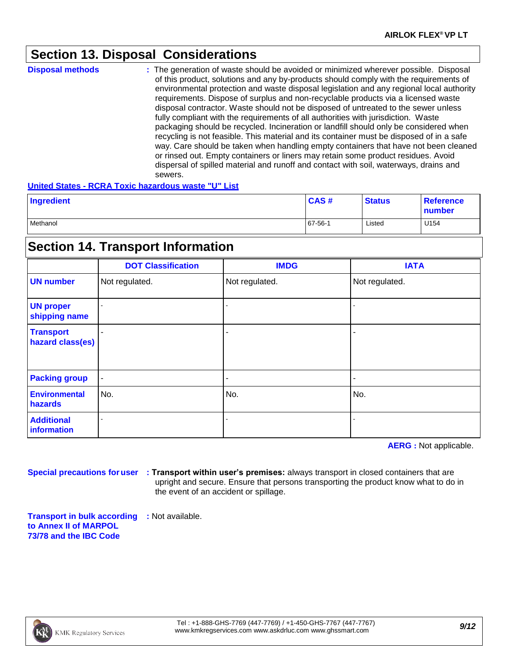### **Section 13. Disposal Considerations**

| <b>Disposal methods</b> | : The generation of waste should be avoided or minimized wherever possible. Disposal<br>of this product, solutions and any by-products should comply with the requirements of<br>environmental protection and waste disposal legislation and any regional local authority<br>requirements. Dispose of surplus and non-recyclable products via a licensed waste<br>disposal contractor. Waste should not be disposed of untreated to the sewer unless<br>fully compliant with the requirements of all authorities with jurisdiction. Waste<br>packaging should be recycled. Incineration or landfill should only be considered when<br>recycling is not feasible. This material and its container must be disposed of in a safe<br>way. Care should be taken when handling empty containers that have not been cleaned<br>or rinsed out. Empty containers or liners may retain some product residues. Avoid<br>dispersal of spilled material and runoff and contact with soil, waterways, drains and |
|-------------------------|-----------------------------------------------------------------------------------------------------------------------------------------------------------------------------------------------------------------------------------------------------------------------------------------------------------------------------------------------------------------------------------------------------------------------------------------------------------------------------------------------------------------------------------------------------------------------------------------------------------------------------------------------------------------------------------------------------------------------------------------------------------------------------------------------------------------------------------------------------------------------------------------------------------------------------------------------------------------------------------------------------|
|                         | sewers.                                                                                                                                                                                                                                                                                                                                                                                                                                                                                                                                                                                                                                                                                                                                                                                                                                                                                                                                                                                             |

#### **United States - RCRA Toxic hazardous waste "U" List**

| Ingredient | CAS#    | <b>Status</b> | <b>Reference</b><br>number |
|------------|---------|---------------|----------------------------|
| Methanol   | 67-56-1 | Listed        | U154                       |

### **Section 14. Transport Information**

|                                      | <b>DOT Classification</b> | <b>IMDG</b>    | <b>IATA</b>    |
|--------------------------------------|---------------------------|----------------|----------------|
| <b>UN number</b>                     | Not regulated.            | Not regulated. | Not regulated. |
| <b>UN proper</b><br>shipping name    |                           |                |                |
| <b>Transport</b><br>hazard class(es) |                           |                |                |
| <b>Packing group</b>                 | $\sim$                    |                |                |
| <b>Environmental</b><br>hazards      | No.                       | No.            | No.            |
| <b>Additional</b><br>information     |                           |                |                |

**AERG :** Not applicable.

**Special precautions foruser : Transport within user's premises:** always transport in closed containers that are upright and secure. Ensure that persons transporting the product know what to do in the event of an accident or spillage.

**Transport in bulk according :** Not available. **to Annex II of MARPOL 73/78 and the IBC Code**

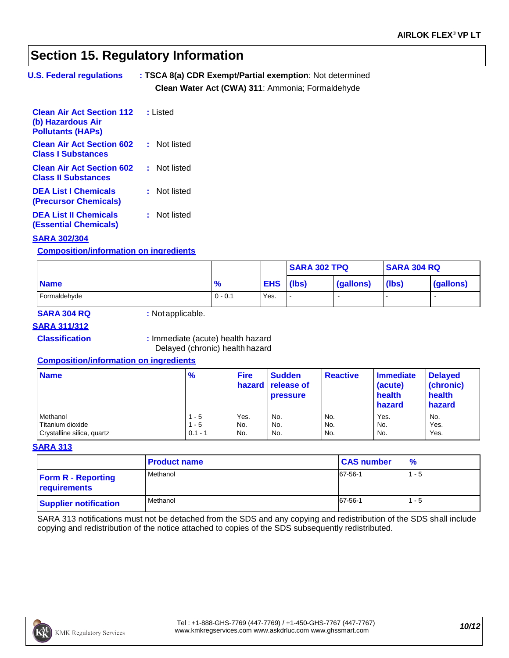### **Section 15. Regulatory Information**

| <b>U.S. Federal regulations</b> | : TSCA 8(a) CDR Exempt/Partial exemption: Not determined |
|---------------------------------|----------------------------------------------------------|
|                                 | Clean Water Act (CWA) 311: Ammonia; Formaldehyde         |

| <b>Clean Air Act Section 112 : Listed</b><br>(b) Hazardous Air<br><b>Pollutants (HAPs)</b> |              |
|--------------------------------------------------------------------------------------------|--------------|
| <b>Clean Air Act Section 602</b><br><b>Class I Substances</b>                              | : Not listed |
| <b>Clean Air Act Section 602</b><br><b>Class II Substances</b>                             | : Not listed |
| <b>DEA List I Chemicals</b><br><b>(Precursor Chemicals)</b>                                | : Not listed |
| <b>DEA List II Chemicals</b><br><b>(Essential Chemicals)</b>                               | : Not listed |

### **SARA 302/304**

#### **Composition/information on ingredients**

|              |               |            | <b>SARA 302 TPQ</b> |           | <b>SARA 304 RQ</b> |                          |
|--------------|---------------|------------|---------------------|-----------|--------------------|--------------------------|
| <b>Name</b>  | $\frac{9}{6}$ | <b>EHS</b> | (lbs)               | (gallons) | (lbs)              | (gallons)                |
| Formaldehyde | $0 - 0.1$     | Yes.       |                     |           |                    | $\overline{\phantom{a}}$ |

### **SARA 304 RQ :** Notapplicable.

### **SARA 311/312**

**Classification :** Immediate (acute) health hazard Delayed (chronic) health hazard

#### **Composition/information on ingredients**

| <b>Name</b>                | $\frac{9}{6}$ | <b>Fire</b> | <b>Sudden</b><br><b>hazard release of</b><br><b>pressure</b> | <b>Reactive</b> | <b>Immediate</b><br>(acute)<br>health<br>hazard | <b>Delayed</b><br>(chronic)<br>health<br>hazard |
|----------------------------|---------------|-------------|--------------------------------------------------------------|-----------------|-------------------------------------------------|-------------------------------------------------|
| Methanol                   | - 5           | Yes.        | No.                                                          | No.             | Yes.                                            | No.                                             |
| Titanium dioxide           | $1 - 5$       | No.         | No.                                                          | No.             | No.                                             | Yes.                                            |
| Crystalline silica, quartz | $0.1 - 1$     | No.         | No.                                                          | No.             | No.                                             | Yes.                                            |

#### **SARA 313**

|                                           | <b>Product name</b> | <b>CAS number</b> | $\frac{9}{6}$ |
|-------------------------------------------|---------------------|-------------------|---------------|
| <b>Form R - Reporting</b><br>requirements | Methanol            | 67-56-1           | $1 - 5$       |
| <b>Supplier notification</b>              | Methanol            | 67-56-1           | $1 - 5$       |

SARA 313 notifications must not be detached from the SDS and any copying and redistribution of the SDS shall include copying and redistribution of the notice attached to copies of the SDS subsequently redistributed.

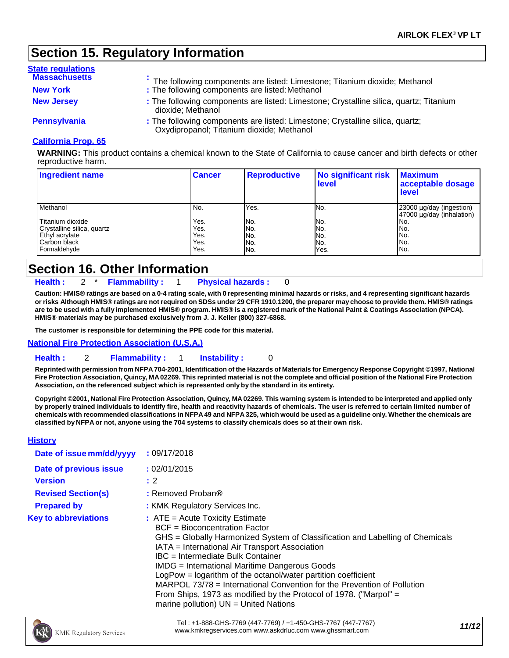### **Section 15. Regulatory Information**

| <b>State regulations</b> |                                                                                                                            |
|--------------------------|----------------------------------------------------------------------------------------------------------------------------|
| <b>Massachusetts</b>     | The following components are listed: Limestone; Titanium dioxide; Methanol                                                 |
| <b>New York</b>          | : The following components are listed: Methanol                                                                            |
| <b>New Jersey</b>        | : The following components are listed: Limestone; Crystalline silica, quartz; Titanium<br>dioxide; Methanol                |
| Pennsylvania             | : The following components are listed: Limestone; Crystalline silica, quartz;<br>Oxydipropanol; Titanium dioxide; Methanol |

#### **California Prop. 65**

**WARNING:** This product contains a chemical known to the State of California to cause cancer and birth defects or other reproductive harm.

| <b>Ingredient name</b>     | <b>Cancer</b> | <b>Reproductive</b> | No significant risk<br>level | <b>Maximum</b><br>acceptable dosage<br><b>level</b>   |
|----------------------------|---------------|---------------------|------------------------------|-------------------------------------------------------|
| Methanol                   | No.           | Yes.                | No.                          | 23000 µg/day (ingestion)<br>47000 µg/day (inhalation) |
| Titanium dioxide           | Yes.          | No.                 | No.                          | No.                                                   |
| Crystalline silica, quartz | Yes.          | No.                 | No.                          | No.                                                   |
| Ethyl acrylate             | Yes.          | No.                 | No.                          | No.                                                   |
| Carbon black               | Yes.          | No.                 | No.                          | No.                                                   |
| Formaldehyde               | Yes.          | No.                 | Yes.                         | No.                                                   |

### **Section 16. Other Information**

**Health :** 2 \* **Flammability :** 1 **Physical hazards :** 0

Caution: HMIS® ratings are based on a 0-4 rating scale, with 0 representing minimal hazards or risks, and 4 representing significant hazards or risks Although HMIS® ratings are not required on SDSs under 29 CFR 1910.1200, the preparer may choose to provide them. HMIS® ratings are to be used with a fully implemented HMIS® program. HMIS® is a registered mark of the National Paint & Coatings Association (NPCA). **HMIS® materials may be purchased exclusively from J. J. Keller (800) 327-6868.**

**The customer is responsible for determining the PPE code for this material.**

**National Fire Protection Association (U.S.A.)**

#### **Health :** 2 **Flammability :** 1 **Instability :** 0

Reprinted with permission from NFPA 704-2001, Identification of the Hazards of Materials for Emergency Response Copyright ©1997, National Fire Protection Association, Quincy, MA 02269. This reprinted material is not the complete and official position of the National Fire Protection **Association, on the referenced subject which is represented only by the standard in its entirety.**

Copyright ©2001, National Fire Protection Association, Quincy, MA 02269. This warning system is intended to be interpreted and applied only **by properly trained individuals to identify fire, health and reactivity hazards of chemicals. The user is referred to certain limited number of**  chemicals with recommended classifications in NFPA 49 and NFPA 325, which would be used as a guideline only. Whether the chemicals are classified by NFPA or not, anyone using the 704 systems to classify chemicals does so at their own risk.

#### **History**

| Date of issue mm/dd/yyyy    | : 09/17/2018                                                                                                                                                                                                                                                                                                                                                                                                                                                                                                                                                     |
|-----------------------------|------------------------------------------------------------------------------------------------------------------------------------------------------------------------------------------------------------------------------------------------------------------------------------------------------------------------------------------------------------------------------------------------------------------------------------------------------------------------------------------------------------------------------------------------------------------|
| Date of previous issue      | : 02/01/2015                                                                                                                                                                                                                                                                                                                                                                                                                                                                                                                                                     |
| <b>Version</b>              | : 2                                                                                                                                                                                                                                                                                                                                                                                                                                                                                                                                                              |
| <b>Revised Section(s)</b>   | : Removed Proban®                                                                                                                                                                                                                                                                                                                                                                                                                                                                                                                                                |
| <b>Prepared by</b>          | : KMK Regulatory Services Inc.                                                                                                                                                                                                                                                                                                                                                                                                                                                                                                                                   |
| <b>Key to abbreviations</b> | $:$ ATE = Acute Toxicity Estimate<br>$BCF = Bioconcentration Factor$<br>GHS = Globally Harmonized System of Classification and Labelling of Chemicals<br>IATA = International Air Transport Association<br>IBC = Intermediate Bulk Container<br><b>IMDG</b> = International Maritime Dangerous Goods<br>LogPow = logarithm of the octanol/water partition coefficient<br>MARPOL 73/78 = International Convention for the Prevention of Pollution<br>From Ships, 1973 as modified by the Protocol of 1978. ("Marpol" =<br>marine pollution) $UN = United Nations$ |

Tel : +1-888-GHS-7769 (447-7769) / +1-450-GHS-7767 (447-7767) [www.kmkregservices.com](http://www.kmkregservices.com/) [www.askdrluc.com](http://www.askdrluc.com/) [www.ghssmart.com](http://www.ghssmart.com/) *11/12*